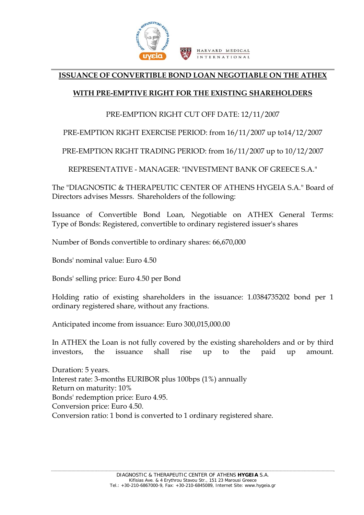

## **ISSUANCE OF CONVERTIBLE BOND LOAN NEGOTIABLE ON THE ATHEX**

## **WITH PRE-EMPTIVE RIGHT FOR THE EXISTING SHAREHOLDERS**

## PRE-EMPTION RIGHT CUT OFF DATE: 12/11/2007

PRE-EMPTION RIGHT EXERCISE PERIOD: from 16/11/2007 up to14/12/2007

PRE-EMPTION RIGHT TRADING PERIOD: from 16/11/2007 up to 10/12/2007

REPRESENTATIVE - MANAGER: "INVESTMENT BANK OF GREECE S.A."

The "DIAGNOSTIC & THERAPEUTIC CENTER OF ATHENS HYGEIA S.A." Board of Directors advises Messrs. Shareholders of the following:

Issuance of Convertible Bond Loan, Negotiable on ATHEX General Terms: Type of Bonds: Registered, convertible to ordinary registered issuer's shares

Number of Bonds convertible to ordinary shares: 66,670,000

Bonds' nominal value: Euro 4.50

Bonds' selling price: Euro 4.50 per Bond

Holding ratio of existing shareholders in the issuance: 1.0384735202 bond per 1 ordinary registered share, without any fractions.

Anticipated income from issuance: Euro 300,015,000.00

In ATHEX the Loan is not fully covered by the existing shareholders and or by third vestors, the issuance shall rise up to the paid up amount. investors.

Interest rate: 3-months EURIBOR plus 100bps (1%) annually Return on maturity: 10% Conversion price: Euro 4.50. Conversion ratio: 1 bond is converted to 1 ordinary registered share. Duration: 5 years. Bonds' redemption price: Euro 4.95.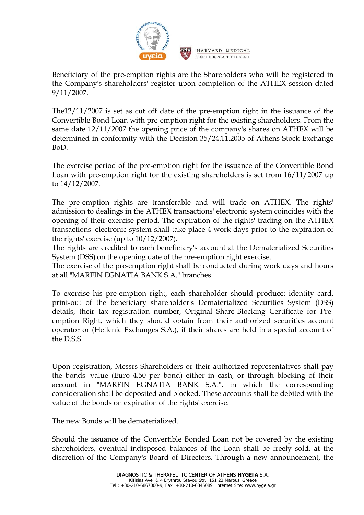

Beneficiary of the pre-emption rights are the Shareholders who will be registered in the Company's shareholders' register upon completion of the ATHEX session dated 9/11/2007.

The $12/11/2007$  is set as cut off date of the pre-emption right in the issuance of the Convertible Bond Loan with pre-emption right for the existing shareholders. From the same date 12/11/2007 the opening price of the company's shares on ATHEX will be determined in conformity with the Decision 35/24.11.2005 of Athens Stock Exchange BoD.

he exercise period of the pre-emption right for the issuance of the Convertible Bond T Loan with pre-emption right for the existing shareholders is set from 16/11/2007 up to 14/12/2007.

The pre-emption rights are transferable and will trade on ATHEX. The rights' admission to dealings in the ATHEX transactions' electronic system coincides with the opening of their exercise period. The expiration of the rights' trading on the ATHEX transactions' electronic system shall take place 4 work days prior to the expiration of the rights' exercise (up to 10/12/2007).

The rights are credited to each beneficiary's account at the Dematerialized Securities System (DSS) on the opening date of the pre-emption right exercise.

The exercise of the pre-emption right shall be conducted during work days and hours at all "MARFIN EGNATIA BANK S.A." branches.

To exercise his pre-emption right, each shareholder should produce: identity card, print-out of the beneficiary shareholder's Dematerialized Securities System (DSS) details, their tax registration number, Original Share-Blocking Certificate for Preemption Right, which they should obtain from their authorized securities account operator or (Hellenic Exchanges S.A.), if their shares are held in a special account of the D.S.S.

Upon registration, Messrs Shareholders or their authorized representatives shall pay the bonds' value (Euro 4.50 per bond) either in cash, or through blocking of their account in "MARFIN EGNATIA BANK S.A.", in which the corresponding consideration shall be deposited and blocked. These accounts shall be debited with the value of the bonds on expiration of the rights' exercise.

The new Bonds will be dematerialized.

hould the issuance of the Convertible Bonded Loan not be covered by the existing S shareholders, eventual indisposed balances of the Loan shall be freely sold, at the discretion of the Company's Board of Directors. Through a new announcement, the